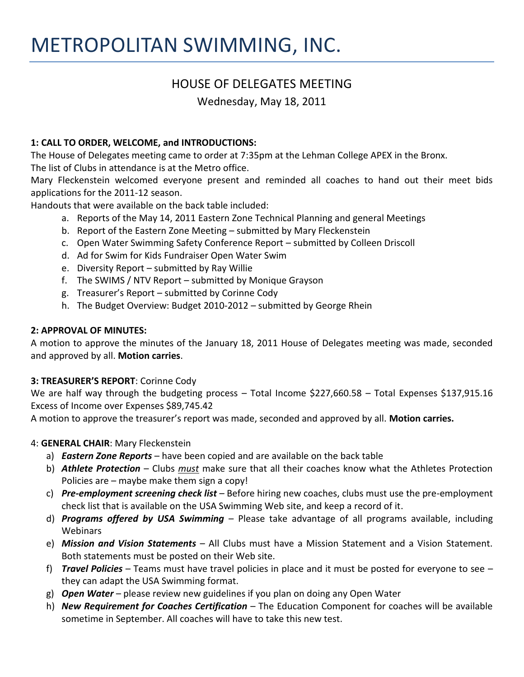# METROPOLITAN SWIMMING, INC.

## HOUSE OF DELEGATES MEETING

Wednesday, May 18, 2011

## **1: CALL TO ORDER, WELCOME, and INTRODUCTIONS:**

The House of Delegates meeting came to order at 7:35pm at the Lehman College APEX in the Bronx. The list of Clubs in attendance is at the Metro office.

Mary Fleckenstein welcomed everyone present and reminded all coaches to hand out their meet bids applications for the 2011-12 season.

Handouts that were available on the back table included:

- a. Reports of the May 14, 2011 Eastern Zone Technical Planning and general Meetings
- b. Report of the Eastern Zone Meeting submitted by Mary Fleckenstein
- c. Open Water Swimming Safety Conference Report submitted by Colleen Driscoll
- d. Ad for Swim for Kids Fundraiser Open Water Swim
- e. Diversity Report submitted by Ray Willie
- f. The SWIMS / NTV Report submitted by Monique Grayson
- g. Treasurer's Report submitted by Corinne Cody
- h. The Budget Overview: Budget 2010-2012 submitted by George Rhein

#### **2: APPROVAL OF MINUTES:**

A motion to approve the minutes of the January 18, 2011 House of Delegates meeting was made, seconded and approved by all. **Motion carries**.

#### **3: TREASURER'S REPORT**: Corinne Cody

We are half way through the budgeting process - Total Income \$227,660.58 - Total Expenses \$137,915.16 Excess of Income over Expenses \$89,745.42

A motion to approve the treasurer's report was made, seconded and approved by all. **Motion carries.**

#### 4: **GENERAL CHAIR**: Mary Fleckenstein

- a) *Eastern Zone Reports*  have been copied and are available on the back table
- b) *Athlete Protection*  Clubs *must* make sure that all their coaches know what the Athletes Protection Policies are – maybe make them sign a copy!
- c) *Pre-employment screening check list* Before hiring new coaches, clubs must use the pre-employment check list that is available on the USA Swimming Web site, and keep a record of it.
- d) *Programs offered by USA Swimming* Please take advantage of all programs available, including Webinars
- e) *Mission and Vision Statements* All Clubs must have a Mission Statement and a Vision Statement. Both statements must be posted on their Web site.
- f) *Travel Policies*  Teams must have travel policies in place and it must be posted for everyone to see they can adapt the USA Swimming format.
- g) *Open Water*  please review new guidelines if you plan on doing any Open Water
- h) *New Requirement for Coaches Certification*  The Education Component for coaches will be available sometime in September. All coaches will have to take this new test.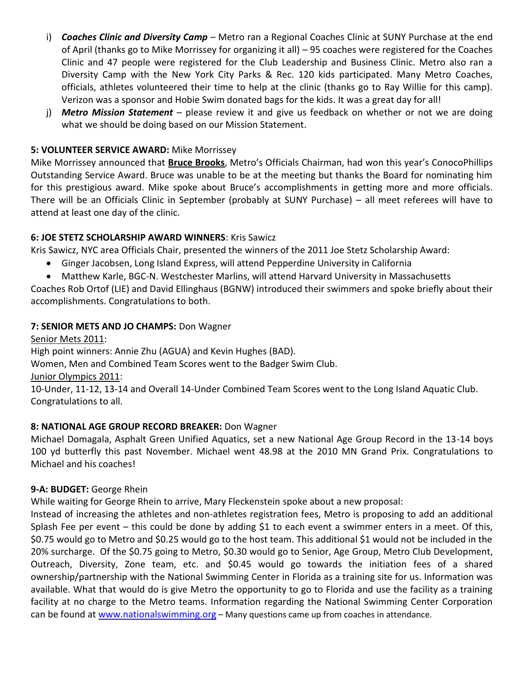- i) **Coaches Clinic and Diversity Camp** Metro ran a Regional Coaches Clinic at SUNY Purchase at the end of April (thanks go to Mike Morrissey for organizing it all) – 95 coaches were registered for the Coaches Clinic and 47 people were registered for the Club Leadership and Business Clinic. Metro also ran a Diversity Camp with the New York City Parks & Rec. 120 kids participated. Many Metro Coaches, officials, athletes volunteered their time to help at the clinic (thanks go to Ray Willie for this camp). Verizon was a sponsor and Hobie Swim donated bags for the kids. It was a great day for all!
- j) *Metro Mission Statement*  please review it and give us feedback on whether or not we are doing what we should be doing based on our Mission Statement.

#### **5: VOLUNTEER SERVICE AWARD:** Mike Morrissey

Mike Morrissey announced that **Bruce Brooks**, Metro's Officials Chairman, had won this year's ConocoPhillips Outstanding Service Award. Bruce was unable to be at the meeting but thanks the Board for nominating him for this prestigious award. Mike spoke about Bruce's accomplishments in getting more and more officials. There will be an Officials Clinic in September (probably at SUNY Purchase) – all meet referees will have to attend at least one day of the clinic.

#### **6: JOE STETZ SCHOLARSHIP AWARD WINNERS**: Kris Sawicz

Kris Sawicz, NYC area Officials Chair, presented the winners of the 2011 Joe Stetz Scholarship Award:

- Ginger Jacobsen, Long Island Express, will attend Pepperdine University in California
- Matthew Karle, BGC-N. Westchester Marlins, will attend Harvard University in Massachusetts

Coaches Rob Ortof (LIE) and David Ellinghaus (BGNW) introduced their swimmers and spoke briefly about their accomplishments. Congratulations to both.

#### **7: SENIOR METS AND JO CHAMPS:** Don Wagner

Senior Mets 2011: High point winners: Annie Zhu (AGUA) and Kevin Hughes (BAD). Women, Men and Combined Team Scores went to the Badger Swim Club. Junior Olympics 2011: 10-Under, 11-12, 13-14 and Overall 14-Under Combined Team Scores went to the Long Island Aquatic Club.

Congratulations to all.

## **8: NATIONAL AGE GROUP RECORD BREAKER:** Don Wagner

Michael Domagala, Asphalt Green Unified Aquatics, set a new National Age Group Record in the 13-14 boys 100 yd butterfly this past November. Michael went 48.98 at the 2010 MN Grand Prix. Congratulations to Michael and his coaches!

#### **9-A: BUDGET:** George Rhein

While waiting for George Rhein to arrive, Mary Fleckenstein spoke about a new proposal:

Instead of increasing the athletes and non-athletes registration fees, Metro is proposing to add an additional Splash Fee per event – this could be done by adding \$1 to each event a swimmer enters in a meet. Of this, \$0.75 would go to Metro and \$0.25 would go to the host team. This additional \$1 would not be included in the 20% surcharge. Of the \$0.75 going to Metro, \$0.30 would go to Senior, Age Group, Metro Club Development, Outreach, Diversity, Zone team, etc. and \$0.45 would go towards the initiation fees of a shared ownership/partnership with the National Swimming Center in Florida as a training site for us. Information was available. What that would do is give Metro the opportunity to go to Florida and use the facility as a training facility at no charge to the Metro teams. Information regarding the National Swimming Center Corporation can be found at [www.nationalswimming.org](http://www.nationalswimming.org/) – Many questions came up from coaches in attendance.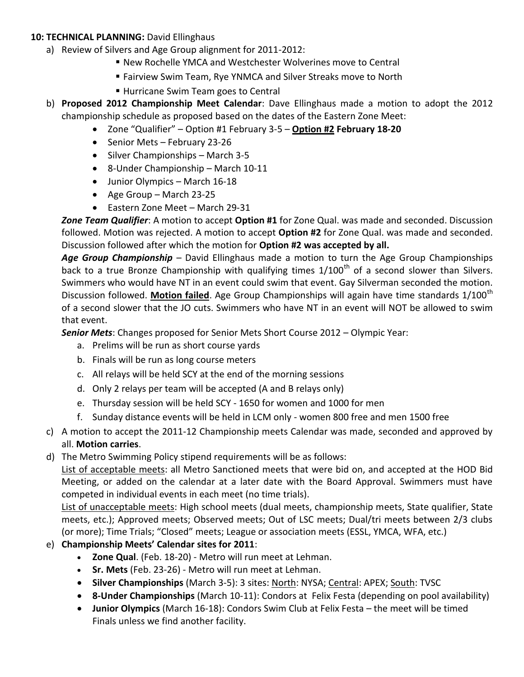#### **10: TECHNICAL PLANNING:** David Ellinghaus

- a) Review of Silvers and Age Group alignment for 2011-2012:
	- New Rochelle YMCA and Westchester Wolverines move to Central
	- Fairview Swim Team, Rye YNMCA and Silver Streaks move to North
	- **Hurricane Swim Team goes to Central**
- b) **Proposed 2012 Championship Meet Calendar**: Dave Ellinghaus made a motion to adopt the 2012 championship schedule as proposed based on the dates of the Eastern Zone Meet:
	- Zone "Qualifier" Option #1 February 3-5 **Option #2 February 18-20**
	- Senior Mets February 23-26
	- $\bullet$  Silver Championships March 3-5
	- 8-Under Championship March 10-11
	- Junior Olympics March 16-18
	- $\bullet$  Age Group March 23-25
	- Eastern Zone Meet March 29-31

*Zone Team Qualifier*: A motion to accept **Option #1** for Zone Qual. was made and seconded. Discussion followed. Motion was rejected. A motion to accept **Option #2** for Zone Qual. was made and seconded. Discussion followed after which the motion for **Option #2 was accepted by all.** 

Age Group Championship - David Ellinghaus made a motion to turn the Age Group Championships back to a true Bronze Championship with qualifying times  $1/100<sup>th</sup>$  of a second slower than Silvers. Swimmers who would have NT in an event could swim that event. Gay Silverman seconded the motion. Discussion followed. **Motion failed**. Age Group Championships will again have time standards 1/100<sup>th</sup> of a second slower that the JO cuts. Swimmers who have NT in an event will NOT be allowed to swim that event.

*Senior Mets*: Changes proposed for Senior Mets Short Course 2012 – Olympic Year:

- a. Prelims will be run as short course yards
- b. Finals will be run as long course meters
- c. All relays will be held SCY at the end of the morning sessions
- d. Only 2 relays per team will be accepted (A and B relays only)
- e. Thursday session will be held SCY 1650 for women and 1000 for men
- f. Sunday distance events will be held in LCM only women 800 free and men 1500 free
- c) A motion to accept the 2011-12 Championship meets Calendar was made, seconded and approved by all. **Motion carries**.
- d) The Metro Swimming Policy stipend requirements will be as follows:

List of acceptable meets: all Metro Sanctioned meets that were bid on, and accepted at the HOD Bid Meeting, or added on the calendar at a later date with the Board Approval. Swimmers must have competed in individual events in each meet (no time trials).

List of unacceptable meets: High school meets (dual meets, championship meets, State qualifier, State meets, etc.); Approved meets; Observed meets; Out of LSC meets; Dual/tri meets between 2/3 clubs (or more); Time Trials; "Closed" meets; League or association meets (ESSL, YMCA, WFA, etc.)

## e) **Championship Meets' Calendar sites for 2011**:

- **Zone Qual**. (Feb. 18-20) Metro will run meet at Lehman.
- **Sr. Mets** (Feb. 23-26) Metro will run meet at Lehman.
- **Silver Championships** (March 3-5): 3 sites: North: NYSA; Central: APEX; South: TVSC
- **8-Under Championships** (March 10-11): Condors at Felix Festa (depending on pool availability)
- **Junior Olympics** (March 16-18): Condors Swim Club at Felix Festa the meet will be timed Finals unless we find another facility.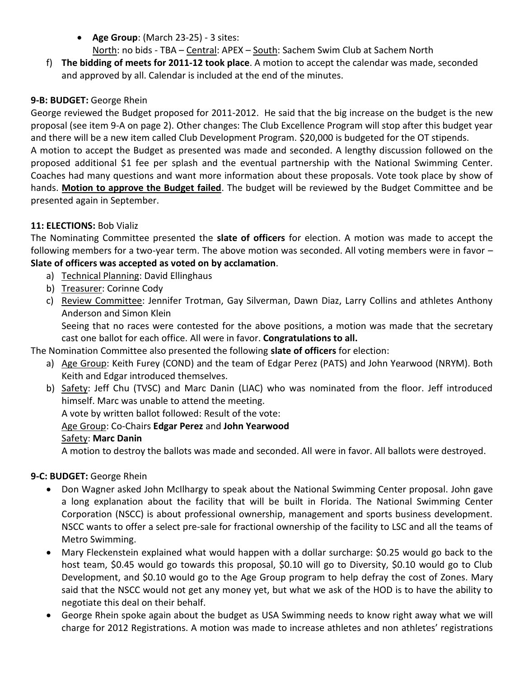- **Age Group**: (March 23-25) 3 sites: North: no bids - TBA – Central: APEX – South: Sachem Swim Club at Sachem North
- f) **The bidding of meets for 2011-12 took place**. A motion to accept the calendar was made, seconded and approved by all. Calendar is included at the end of the minutes.

## **9-B: BUDGET:** George Rhein

George reviewed the Budget proposed for 2011-2012. He said that the big increase on the budget is the new proposal (see item 9-A on page 2). Other changes: The Club Excellence Program will stop after this budget year and there will be a new item called Club Development Program. \$20,000 is budgeted for the OT stipends. A motion to accept the Budget as presented was made and seconded. A lengthy discussion followed on the proposed additional \$1 fee per splash and the eventual partnership with the National Swimming Center. Coaches had many questions and want more information about these proposals. Vote took place by show of hands. **Motion to approve the Budget failed**. The budget will be reviewed by the Budget Committee and be presented again in September.

## **11: ELECTIONS:** Bob Vializ

The Nominating Committee presented the **slate of officers** for election. A motion was made to accept the following members for a two-year term. The above motion was seconded. All voting members were in favor – **Slate of officers was accepted as voted on by acclamation**.

- a) Technical Planning: David Ellinghaus
- b) Treasurer: Corinne Cody
- c) Review Committee: Jennifer Trotman, Gay Silverman, Dawn Diaz, Larry Collins and athletes Anthony Anderson and Simon Klein

Seeing that no races were contested for the above positions, a motion was made that the secretary cast one ballot for each office. All were in favor. **Congratulations to all.**

The Nomination Committee also presented the following **slate of officers** for election:

- a) Age Group: Keith Furey (COND) and the team of Edgar Perez (PATS) and John Yearwood (NRYM). Both Keith and Edgar introduced themselves.
- b) Safety: Jeff Chu (TVSC) and Marc Danin (LIAC) who was nominated from the floor. Jeff introduced himself. Marc was unable to attend the meeting.

A vote by written ballot followed: Result of the vote:

## Age Group: Co-Chairs **Edgar Perez** and **John Yearwood**

## Safety: **Marc Danin**

A motion to destroy the ballots was made and seconded. All were in favor. All ballots were destroyed.

## **9-C: BUDGET:** George Rhein

- Don Wagner asked John McIlhargy to speak about the National Swimming Center proposal. John gave a long explanation about the facility that will be built in Florida. The National Swimming Center Corporation (NSCC) is about professional ownership, management and sports business development. NSCC wants to offer a select pre-sale for fractional ownership of the facility to LSC and all the teams of Metro Swimming.
- Mary Fleckenstein explained what would happen with a dollar surcharge: \$0.25 would go back to the host team, \$0.45 would go towards this proposal, \$0.10 will go to Diversity, \$0.10 would go to Club Development, and \$0.10 would go to the Age Group program to help defray the cost of Zones. Mary said that the NSCC would not get any money yet, but what we ask of the HOD is to have the ability to negotiate this deal on their behalf.
- George Rhein spoke again about the budget as USA Swimming needs to know right away what we will charge for 2012 Registrations. A motion was made to increase athletes and non athletes' registrations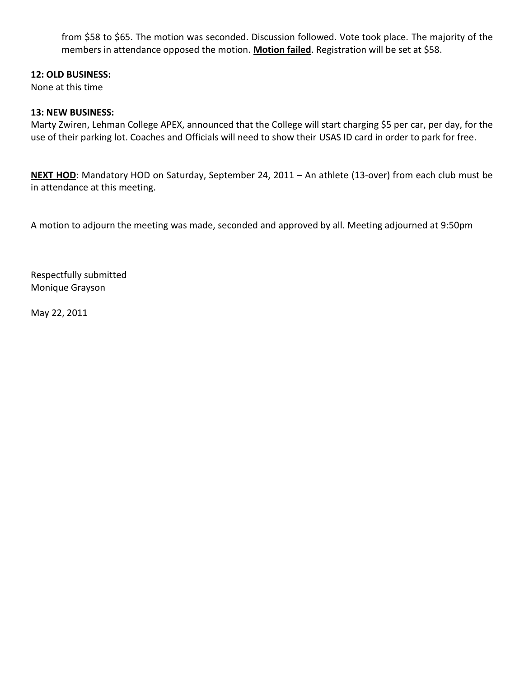from \$58 to \$65. The motion was seconded. Discussion followed. Vote took place. The majority of the members in attendance opposed the motion. **Motion failed**. Registration will be set at \$58.

#### **12: OLD BUSINESS:**

None at this time

#### **13: NEW BUSINESS:**

Marty Zwiren, Lehman College APEX, announced that the College will start charging \$5 per car, per day, for the use of their parking lot. Coaches and Officials will need to show their USAS ID card in order to park for free.

**NEXT HOD**: Mandatory HOD on Saturday, September 24, 2011 – An athlete (13-over) from each club must be in attendance at this meeting.

A motion to adjourn the meeting was made, seconded and approved by all. Meeting adjourned at 9:50pm

Respectfully submitted Monique Grayson

May 22, 2011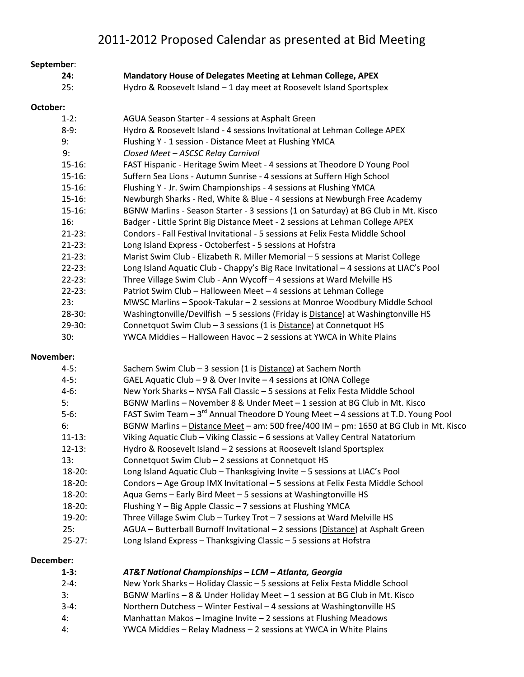| September: |             |                                                                                                                                                        |
|------------|-------------|--------------------------------------------------------------------------------------------------------------------------------------------------------|
|            | 24:         | Mandatory House of Delegates Meeting at Lehman College, APEX                                                                                           |
|            | 25:         | Hydro & Roosevelt Island - 1 day meet at Roosevelt Island Sportsplex                                                                                   |
| October:   |             |                                                                                                                                                        |
|            |             |                                                                                                                                                        |
|            | $1-2:$      | AGUA Season Starter - 4 sessions at Asphalt Green                                                                                                      |
|            | $8-9:$      | Hydro & Roosevelt Island - 4 sessions Invitational at Lehman College APEX                                                                              |
|            | 9:          | Flushing Y - 1 session - Distance Meet at Flushing YMCA                                                                                                |
|            | 9:          | Closed Meet - ASCSC Relay Carnival                                                                                                                     |
|            | $15 - 16$ : | FAST Hispanic - Heritage Swim Meet - 4 sessions at Theodore D Young Pool                                                                               |
|            | $15 - 16$ : | Suffern Sea Lions - Autumn Sunrise - 4 sessions at Suffern High School                                                                                 |
|            | $15 - 16$ : | Flushing Y - Jr. Swim Championships - 4 sessions at Flushing YMCA                                                                                      |
|            | $15 - 16$ : | Newburgh Sharks - Red, White & Blue - 4 sessions at Newburgh Free Academy                                                                              |
|            | $15 - 16$ : | BGNW Marlins - Season Starter - 3 sessions (1 on Saturday) at BG Club in Mt. Kisco                                                                     |
|            | 16:         | Badger - Little Sprint Big Distance Meet - 2 sessions at Lehman College APEX                                                                           |
|            | $21 - 23:$  | Condors - Fall Festival Invitational - 5 sessions at Felix Festa Middle School                                                                         |
|            | $21-23:$    | Long Island Express - Octoberfest - 5 sessions at Hofstra                                                                                              |
|            | $21-23:$    | Marist Swim Club - Elizabeth R. Miller Memorial - 5 sessions at Marist College                                                                         |
|            | $22 - 23:$  | Long Island Aquatic Club - Chappy's Big Race Invitational - 4 sessions at LIAC's Pool                                                                  |
|            | $22 - 23:$  | Three Village Swim Club - Ann Wycoff - 4 sessions at Ward Melville HS                                                                                  |
|            | $22 - 23:$  | Patriot Swim Club - Halloween Meet - 4 sessions at Lehman College                                                                                      |
|            | 23:         | MWSC Marlins - Spook-Takular - 2 sessions at Monroe Woodbury Middle School                                                                             |
|            | $28-30:$    | Washingtonville/Devilfish - 5 sessions (Friday is Distance) at Washingtonville HS                                                                      |
|            | $29-30:$    | Connetquot Swim Club - 3 sessions (1 is Distance) at Connetquot HS                                                                                     |
|            | 30:         | YWCA Middies - Halloween Havoc - 2 sessions at YWCA in White Plains                                                                                    |
| November:  |             |                                                                                                                                                        |
|            | $4-5:$      | Sachem Swim Club - 3 session (1 is Distance) at Sachem North                                                                                           |
|            | $4-5:$      | GAEL Aquatic Club - 9 & Over Invite - 4 sessions at IONA College                                                                                       |
|            | $4-6:$      | New York Sharks - NYSA Fall Classic - 5 sessions at Felix Festa Middle School                                                                          |
|            | 5:          | BGNW Marlins - November 8 & Under Meet - 1 session at BG Club in Mt. Kisco                                                                             |
|            | $5-6:$      | FAST Swim Team - 3 <sup>rd</sup> Annual Theodore D Young Meet - 4 sessions at T.D. Young Pool                                                          |
|            | 6:          | BGNW Marlins - Distance Meet - am: 500 free/400 IM - pm: 1650 at BG Club in Mt. Kisco                                                                  |
|            |             |                                                                                                                                                        |
|            | $11 - 13:$  | Viking Aquatic Club - Viking Classic - 6 sessions at Valley Central Natatorium<br>Hydro & Roosevelt Island - 2 sessions at Roosevelt Island Sportsplex |
|            | $12 - 13:$  |                                                                                                                                                        |
|            | 13:         | Connetquot Swim Club - 2 sessions at Connetquot HS                                                                                                     |
|            | $18-20:$    | Long Island Aquatic Club - Thanksgiving Invite - 5 sessions at LIAC's Pool                                                                             |
|            | $18-20:$    | Condors - Age Group IMX Invitational - 5 sessions at Felix Festa Middle School                                                                         |
|            | $18-20:$    | Aqua Gems - Early Bird Meet - 5 sessions at Washingtonville HS                                                                                         |
|            | $18-20:$    | Flushing Y - Big Apple Classic - 7 sessions at Flushing YMCA                                                                                           |
|            | 19-20:      | Three Village Swim Club - Turkey Trot - 7 sessions at Ward Melville HS                                                                                 |
|            | 25:         | AGUA - Butterball Burnoff Invitational - 2 sessions (Distance) at Asphalt Green                                                                        |
|            | $25 - 27:$  | Long Island Express - Thanksgiving Classic - 5 sessions at Hofstra                                                                                     |
| December:  |             |                                                                                                                                                        |
|            | $1-3:$      | AT&T National Championships - LCM - Atlanta, Georgia                                                                                                   |
|            | $2 - 4:$    | New York Sharks - Holiday Classic - 5 sessions at Felix Festa Middle School                                                                            |
|            | 3:          | BGNW Marlins - 8 & Under Holiday Meet - 1 session at BG Club in Mt. Kisco                                                                              |
|            | $3-4:$      | Northern Dutchess - Winter Festival - 4 sessions at Washingtonville HS                                                                                 |

- 4: Manhattan Makos Imagine Invite 2 sessions at Flushing Meadows
- 4: YWCA Middies Relay Madness 2 sessions at YWCA in White Plains